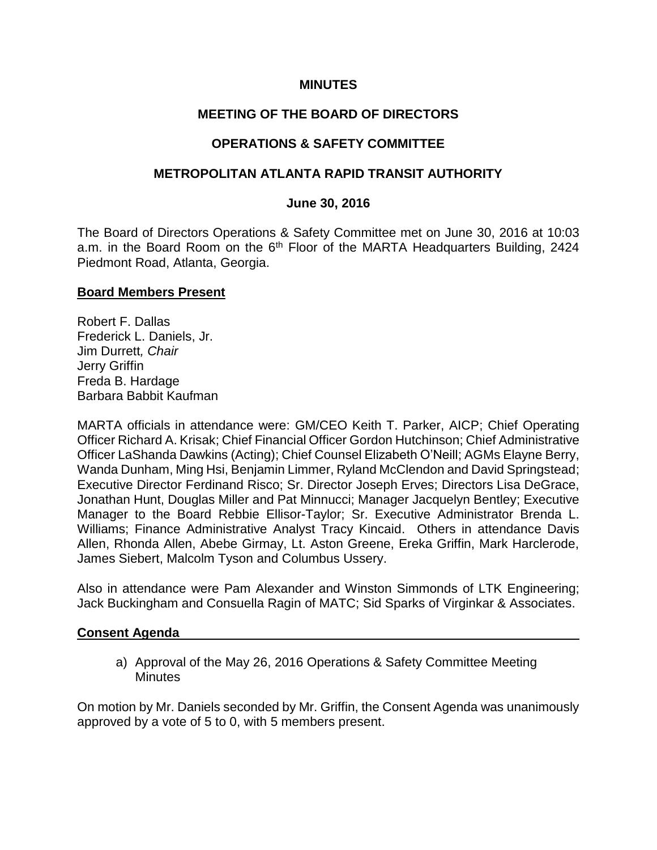### **MINUTES**

## **MEETING OF THE BOARD OF DIRECTORS**

## **OPERATIONS & SAFETY COMMITTEE**

### **METROPOLITAN ATLANTA RAPID TRANSIT AUTHORITY**

#### **June 30, 2016**

The Board of Directors Operations & Safety Committee met on June 30, 2016 at 10:03 a.m. in the Board Room on the 6<sup>th</sup> Floor of the MARTA Headquarters Building, 2424 Piedmont Road, Atlanta, Georgia.

### **Board Members Present**

Robert F. Dallas Frederick L. Daniels, Jr. Jim Durrett*, Chair* Jerry Griffin Freda B. Hardage Barbara Babbit Kaufman

MARTA officials in attendance were: GM/CEO Keith T. Parker, AICP; Chief Operating Officer Richard A. Krisak; Chief Financial Officer Gordon Hutchinson; Chief Administrative Officer LaShanda Dawkins (Acting); Chief Counsel Elizabeth O'Neill; AGMs Elayne Berry, Wanda Dunham, Ming Hsi, Benjamin Limmer, Ryland McClendon and David Springstead; Executive Director Ferdinand Risco; Sr. Director Joseph Erves; Directors Lisa DeGrace, Jonathan Hunt, Douglas Miller and Pat Minnucci; Manager Jacquelyn Bentley; Executive Manager to the Board Rebbie Ellisor-Taylor; Sr. Executive Administrator Brenda L. Williams; Finance Administrative Analyst Tracy Kincaid. Others in attendance Davis Allen, Rhonda Allen, Abebe Girmay, Lt. Aston Greene, Ereka Griffin, Mark Harclerode, James Siebert, Malcolm Tyson and Columbus Ussery.

Also in attendance were Pam Alexander and Winston Simmonds of LTK Engineering; Jack Buckingham and Consuella Ragin of MATC; Sid Sparks of Virginkar & Associates.

#### **Consent Agenda**

a) Approval of the May 26, 2016 Operations & Safety Committee Meeting **Minutes** 

On motion by Mr. Daniels seconded by Mr. Griffin, the Consent Agenda was unanimously approved by a vote of 5 to 0, with 5 members present.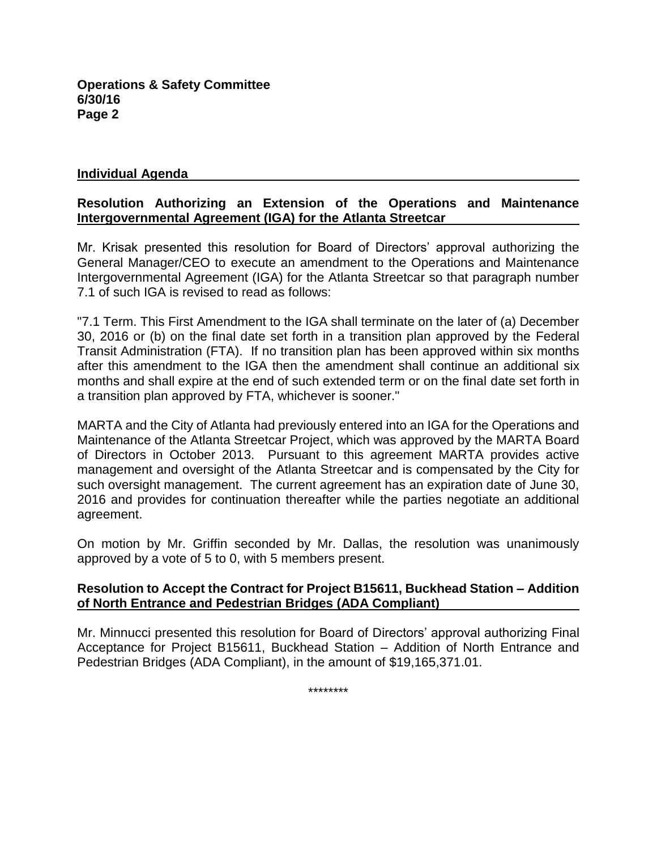### **Individual Agenda**

## **Resolution Authorizing an Extension of the Operations and Maintenance Intergovernmental Agreement (IGA) for the Atlanta Streetcar**

Mr. Krisak presented this resolution for Board of Directors' approval authorizing the General Manager/CEO to execute an amendment to the Operations and Maintenance Intergovernmental Agreement (IGA) for the Atlanta Streetcar so that paragraph number 7.1 of such IGA is revised to read as follows:

"7.1 Term. This First Amendment to the IGA shall terminate on the later of (a) December 30, 2016 or (b) on the final date set forth in a transition plan approved by the Federal Transit Administration (FTA). If no transition plan has been approved within six months after this amendment to the IGA then the amendment shall continue an additional six months and shall expire at the end of such extended term or on the final date set forth in a transition plan approved by FTA, whichever is sooner."

MARTA and the City of Atlanta had previously entered into an IGA for the Operations and Maintenance of the Atlanta Streetcar Project, which was approved by the MARTA Board of Directors in October 2013. Pursuant to this agreement MARTA provides active management and oversight of the Atlanta Streetcar and is compensated by the City for such oversight management. The current agreement has an expiration date of June 30, 2016 and provides for continuation thereafter while the parties negotiate an additional agreement.

On motion by Mr. Griffin seconded by Mr. Dallas, the resolution was unanimously approved by a vote of 5 to 0, with 5 members present.

### **Resolution to Accept the Contract for Project B15611, Buckhead Station – Addition of North Entrance and Pedestrian Bridges (ADA Compliant)**

Mr. Minnucci presented this resolution for Board of Directors' approval authorizing Final Acceptance for Project B15611, Buckhead Station – Addition of North Entrance and Pedestrian Bridges (ADA Compliant), in the amount of \$19,165,371.01.

\*\*\*\*\*\*\*\*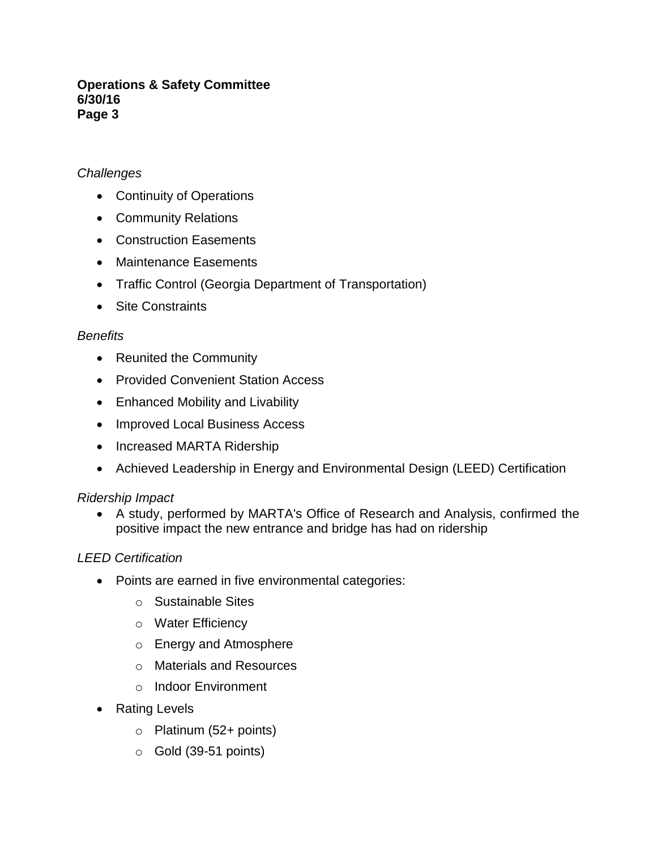## *Challenges*

- Continuity of Operations
- Community Relations
- Construction Easements
- Maintenance Easements
- Traffic Control (Georgia Department of Transportation)
- Site Constraints

## *Benefits*

- Reunited the Community
- Provided Convenient Station Access
- Enhanced Mobility and Livability
- Improved Local Business Access
- Increased MARTA Ridership
- Achieved Leadership in Energy and Environmental Design (LEED) Certification

## *Ridership Impact*

 A study, performed by MARTA's Office of Research and Analysis, confirmed the positive impact the new entrance and bridge has had on ridership

## *LEED Certification*

- Points are earned in five environmental categories:
	- o Sustainable Sites
	- o Water Efficiency
	- o Energy and Atmosphere
	- o Materials and Resources
	- o Indoor Environment
- Rating Levels
	- $\circ$  Platinum (52+ points)
	- $\circ$  Gold (39-51 points)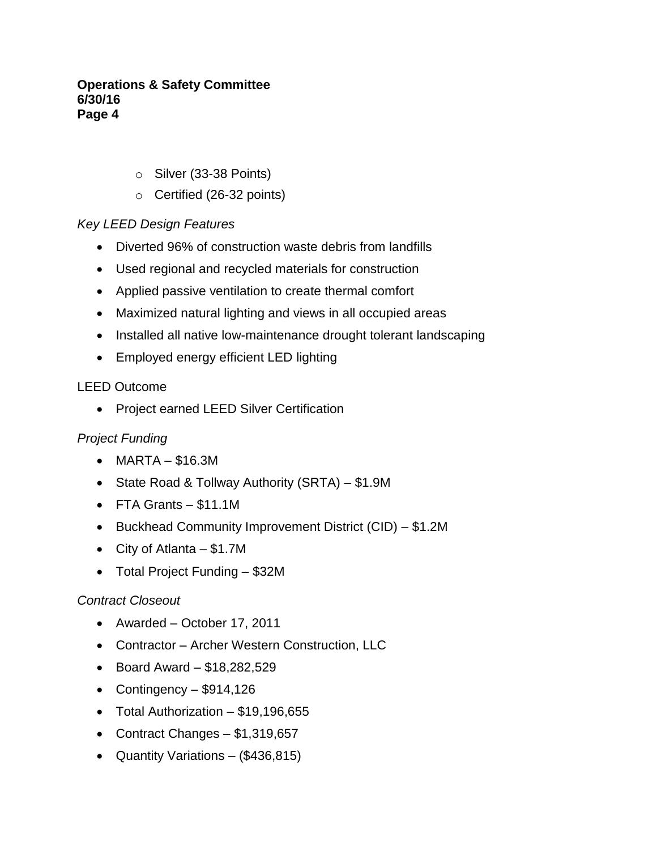- o Silver (33-38 Points)
- o Certified (26-32 points)

# *Key LEED Design Features*

- Diverted 96% of construction waste debris from landfills
- Used regional and recycled materials for construction
- Applied passive ventilation to create thermal comfort
- Maximized natural lighting and views in all occupied areas
- Installed all native low-maintenance drought tolerant landscaping
- Employed energy efficient LED lighting

## LEED Outcome

• Project earned LEED Silver Certification

# *Project Funding*

- MARTA \$16.3M
- State Road & Tollway Authority (SRTA) \$1.9M
- FTA Grants \$11.1M
- Buckhead Community Improvement District (CID) \$1.2M
- City of Atlanta \$1.7M
- Total Project Funding \$32M

## *Contract Closeout*

- Awarded October 17, 2011
- Contractor Archer Western Construction, LLC
- $\bullet$  Board Award \$18,282,529
- Contingency  $-$  \$914,126
- Total Authorization \$19,196,655
- Contract Changes \$1,319,657
- Quantity Variations  $(\$436,815)$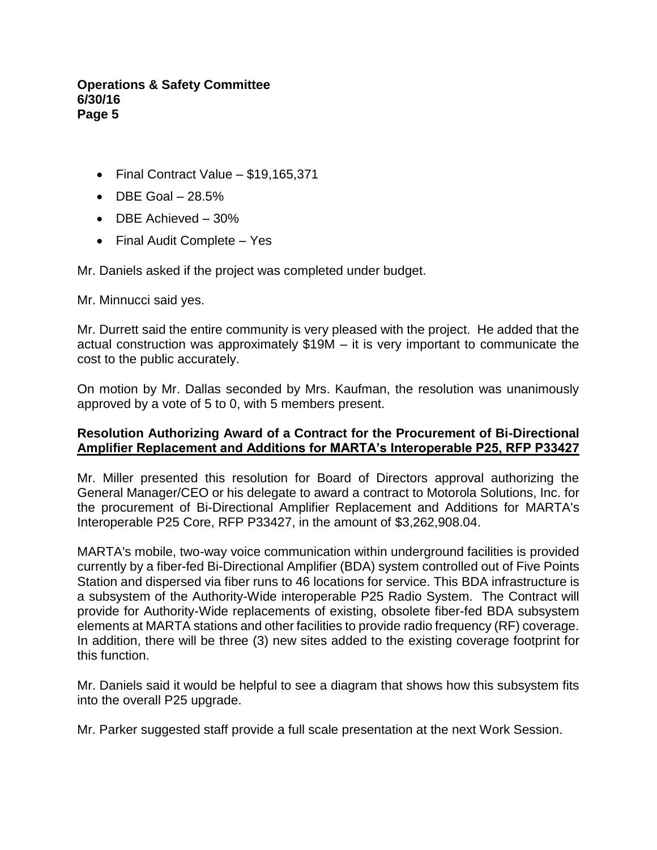- Final Contract Value \$19,165,371
- $\bullet$  DBE Goal  $-28.5\%$
- DBE Achieved 30%
- Final Audit Complete Yes

Mr. Daniels asked if the project was completed under budget.

Mr. Minnucci said yes.

Mr. Durrett said the entire community is very pleased with the project. He added that the actual construction was approximately \$19M – it is very important to communicate the cost to the public accurately.

On motion by Mr. Dallas seconded by Mrs. Kaufman, the resolution was unanimously approved by a vote of 5 to 0, with 5 members present.

### **Resolution Authorizing Award of a Contract for the Procurement of Bi-Directional Amplifier Replacement and Additions for MARTA's Interoperable P25, RFP P33427**

Mr. Miller presented this resolution for Board of Directors approval authorizing the General Manager/CEO or his delegate to award a contract to Motorola Solutions, Inc. for the procurement of Bi-Directional Amplifier Replacement and Additions for MARTA's Interoperable P25 Core, RFP P33427, in the amount of \$3,262,908.04.

MARTA's mobile, two-way voice communication within underground facilities is provided currently by a fiber-fed Bi-Directional Amplifier (BDA) system controlled out of Five Points Station and dispersed via fiber runs to 46 locations for service. This BDA infrastructure is a subsystem of the Authority-Wide interoperable P25 Radio System. The Contract will provide for Authority-Wide replacements of existing, obsolete fiber-fed BDA subsystem elements at MARTA stations and other facilities to provide radio frequency (RF) coverage. In addition, there will be three (3) new sites added to the existing coverage footprint for this function.

Mr. Daniels said it would be helpful to see a diagram that shows how this subsystem fits into the overall P25 upgrade.

Mr. Parker suggested staff provide a full scale presentation at the next Work Session.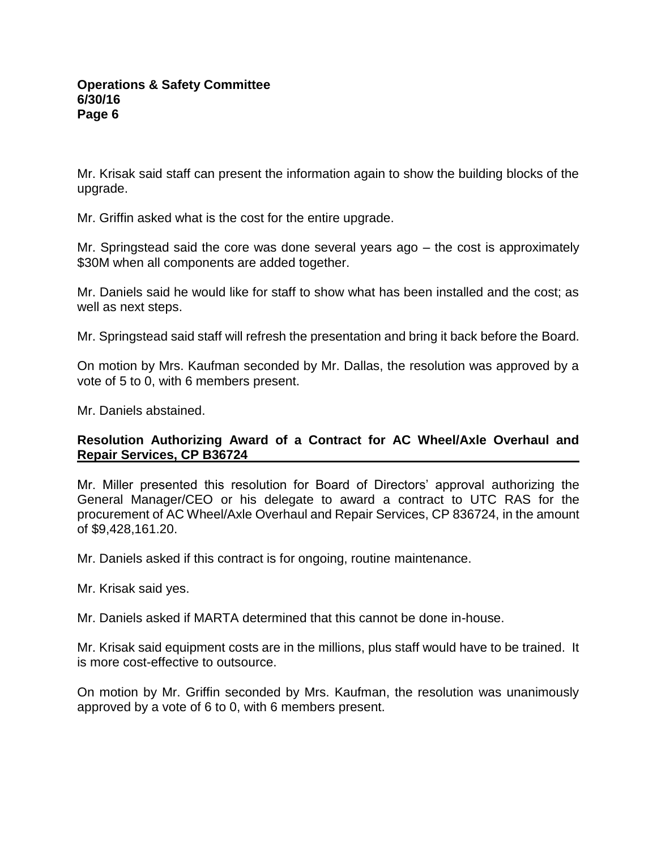Mr. Krisak said staff can present the information again to show the building blocks of the upgrade.

Mr. Griffin asked what is the cost for the entire upgrade.

Mr. Springstead said the core was done several years ago – the cost is approximately \$30M when all components are added together.

Mr. Daniels said he would like for staff to show what has been installed and the cost; as well as next steps.

Mr. Springstead said staff will refresh the presentation and bring it back before the Board.

On motion by Mrs. Kaufman seconded by Mr. Dallas, the resolution was approved by a vote of 5 to 0, with 6 members present.

Mr. Daniels abstained.

## **Resolution Authorizing Award of a Contract for AC Wheel/Axle Overhaul and Repair Services, CP B36724**

Mr. Miller presented this resolution for Board of Directors' approval authorizing the General Manager/CEO or his delegate to award a contract to UTC RAS for the procurement of AC Wheel/Axle Overhaul and Repair Services, CP 836724, in the amount of \$9,428,161.20.

Mr. Daniels asked if this contract is for ongoing, routine maintenance.

Mr. Krisak said yes.

Mr. Daniels asked if MARTA determined that this cannot be done in-house.

Mr. Krisak said equipment costs are in the millions, plus staff would have to be trained. It is more cost-effective to outsource.

On motion by Mr. Griffin seconded by Mrs. Kaufman, the resolution was unanimously approved by a vote of 6 to 0, with 6 members present.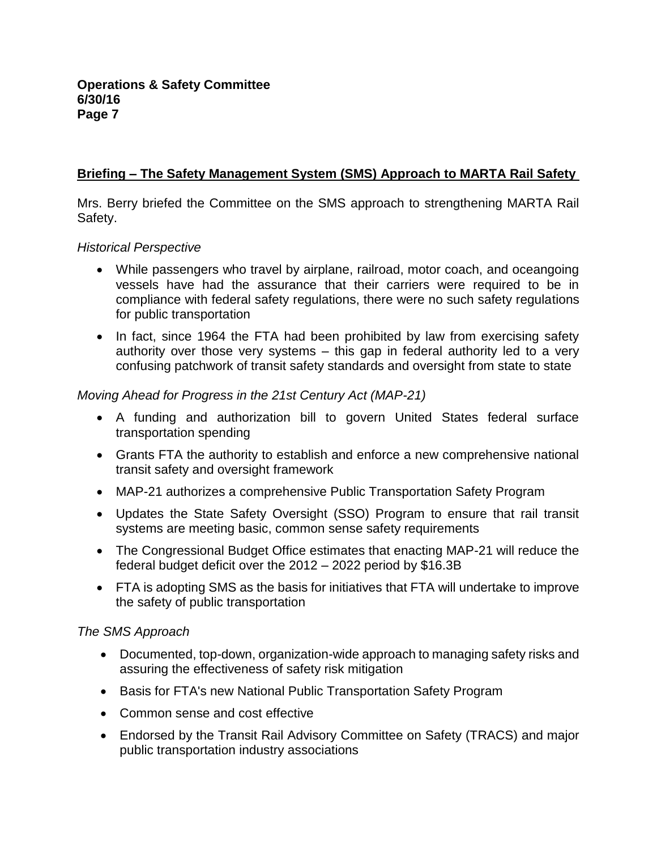## **Briefing – The Safety Management System (SMS) Approach to MARTA Rail Safety**

Mrs. Berry briefed the Committee on the SMS approach to strengthening MARTA Rail Safety.

### *Historical Perspective*

- While passengers who travel by airplane, railroad, motor coach, and oceangoing vessels have had the assurance that their carriers were required to be in compliance with federal safety regulations, there were no such safety regulations for public transportation
- In fact, since 1964 the FTA had been prohibited by law from exercising safety authority over those very systems – this gap in federal authority led to a very confusing patchwork of transit safety standards and oversight from state to state

## *Moving Ahead for Progress in the 21st Century Act (MAP-21)*

- A funding and authorization bill to govern United States federal surface transportation spending
- Grants FTA the authority to establish and enforce a new comprehensive national transit safety and oversight framework
- MAP-21 authorizes a comprehensive Public Transportation Safety Program
- Updates the State Safety Oversight (SSO) Program to ensure that rail transit systems are meeting basic, common sense safety requirements
- The Congressional Budget Office estimates that enacting MAP-21 will reduce the federal budget deficit over the 2012 – 2022 period by \$16.3B
- FTA is adopting SMS as the basis for initiatives that FTA will undertake to improve the safety of public transportation

## *The SMS Approach*

- Documented, top-down, organization-wide approach to managing safety risks and assuring the effectiveness of safety risk mitigation
- Basis for FTA's new National Public Transportation Safety Program
- Common sense and cost effective
- Endorsed by the Transit Rail Advisory Committee on Safety (TRACS) and major public transportation industry associations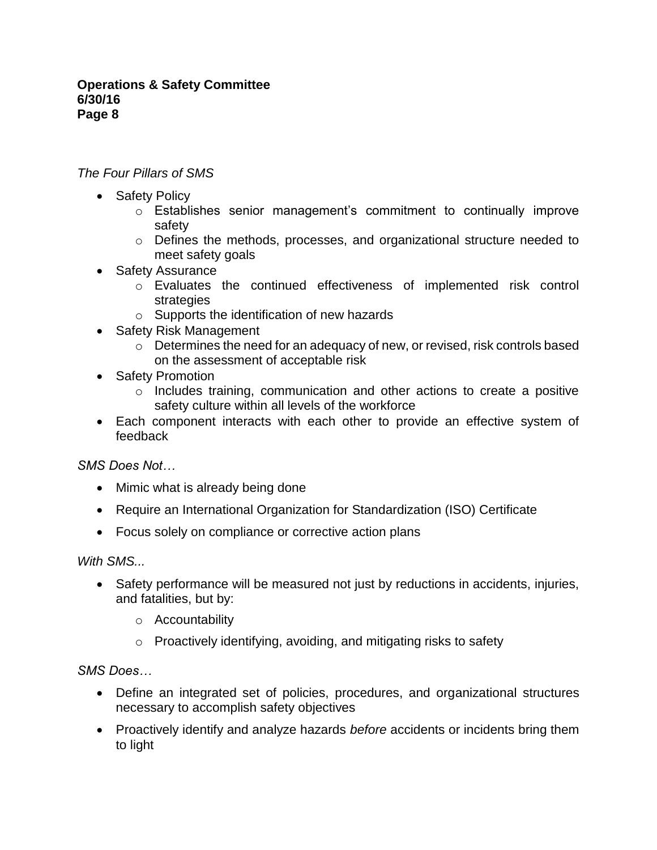## *The Four Pillars of SMS*

- Safety Policy
	- o Establishes senior management's commitment to continually improve safety
	- o Defines the methods, processes, and organizational structure needed to meet safety goals
- Safety Assurance
	- o Evaluates the continued effectiveness of implemented risk control strategies
	- o Supports the identification of new hazards
- Safety Risk Management
	- $\circ$  Determines the need for an adequacy of new, or revised, risk controls based on the assessment of acceptable risk
- Safety Promotion
	- o Includes training, communication and other actions to create a positive safety culture within all levels of the workforce
- Each component interacts with each other to provide an effective system of feedback

*SMS Does Not…*

- Mimic what is already being done
- Require an International Organization for Standardization (ISO) Certificate
- Focus solely on compliance or corrective action plans

*With SMS...*

- Safety performance will be measured not just by reductions in accidents, injuries, and fatalities, but by:
	- o Accountability
	- o Proactively identifying, avoiding, and mitigating risks to safety

*SMS Does…*

- Define an integrated set of policies, procedures, and organizational structures necessary to accomplish safety objectives
- Proactively identify and analyze hazards *before* accidents or incidents bring them to light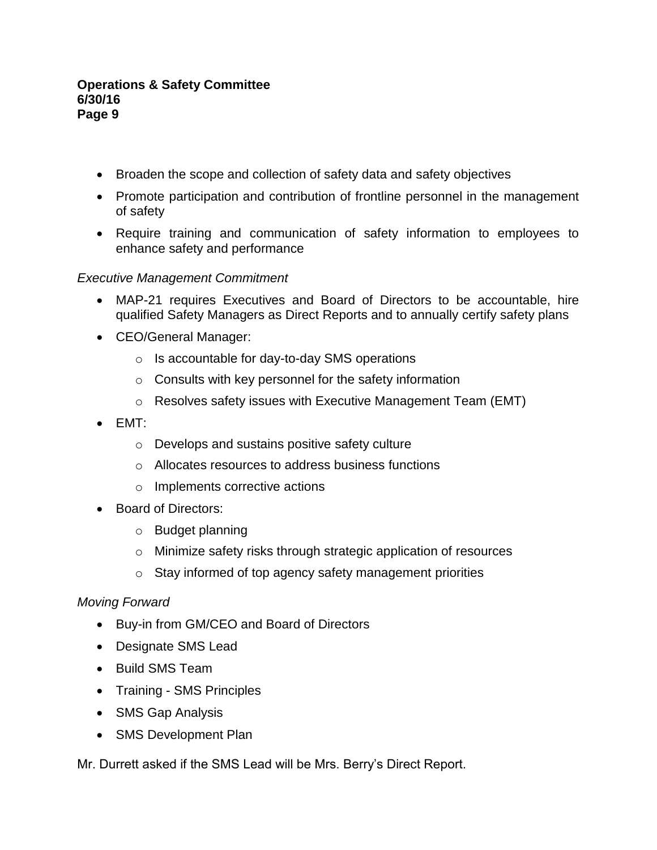- Broaden the scope and collection of safety data and safety objectives
- Promote participation and contribution of frontline personnel in the management of safety
- Require training and communication of safety information to employees to enhance safety and performance

## *Executive Management Commitment*

- MAP-21 requires Executives and Board of Directors to be accountable, hire qualified Safety Managers as Direct Reports and to annually certify safety plans
- CEO/General Manager:
	- o Is accountable for day-to-day SMS operations
	- o Consults with key personnel for the safety information
	- o Resolves safety issues with Executive Management Team (EMT)
- $\bullet$  EMT:
	- o Develops and sustains positive safety culture
	- o Allocates resources to address business functions
	- o Implements corrective actions
- Board of Directors:
	- o Budget planning
	- o Minimize safety risks through strategic application of resources
	- o Stay informed of top agency safety management priorities

## *Moving Forward*

- Buy-in from GM/CEO and Board of Directors
- Designate SMS Lead
- Build SMS Team
- Training SMS Principles
- SMS Gap Analysis
- SMS Development Plan

Mr. Durrett asked if the SMS Lead will be Mrs. Berry's Direct Report.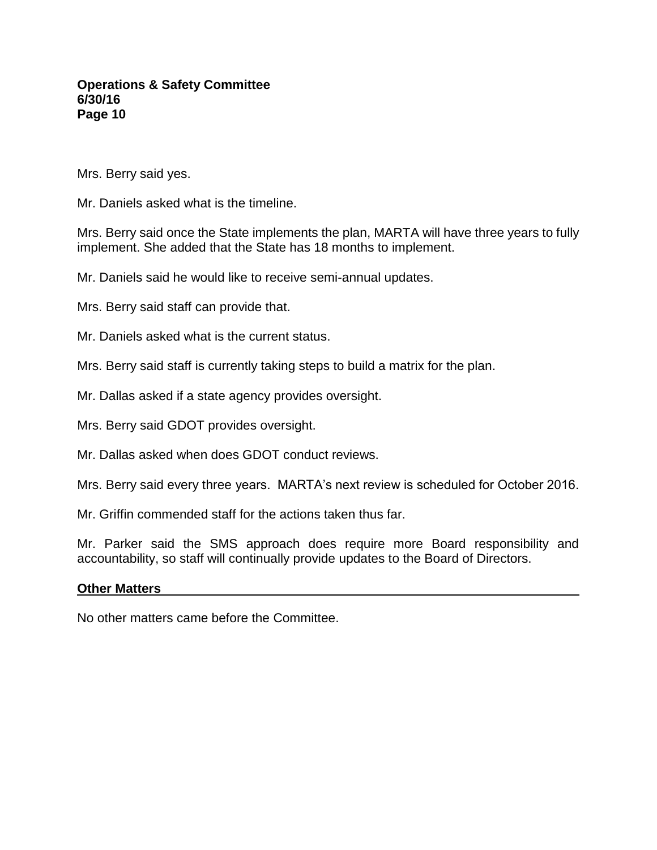Mrs. Berry said yes.

Mr. Daniels asked what is the timeline.

Mrs. Berry said once the State implements the plan, MARTA will have three years to fully implement. She added that the State has 18 months to implement.

Mr. Daniels said he would like to receive semi-annual updates.

Mrs. Berry said staff can provide that.

Mr. Daniels asked what is the current status.

Mrs. Berry said staff is currently taking steps to build a matrix for the plan.

Mr. Dallas asked if a state agency provides oversight.

Mrs. Berry said GDOT provides oversight.

Mr. Dallas asked when does GDOT conduct reviews.

Mrs. Berry said every three years. MARTA's next review is scheduled for October 2016.

Mr. Griffin commended staff for the actions taken thus far.

Mr. Parker said the SMS approach does require more Board responsibility and accountability, so staff will continually provide updates to the Board of Directors.

#### **Other Matters**

No other matters came before the Committee.